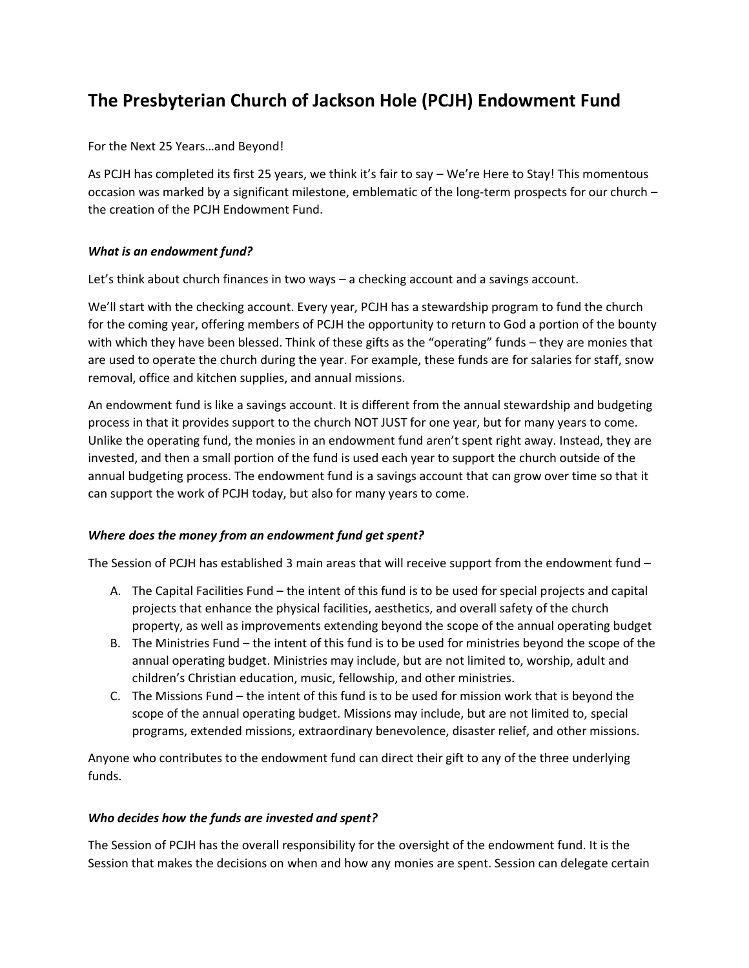# **The Presbyterian Church of Jackson Hole (PCJH) Endowment Fund**

For the Next 25 Years…and Beyond!

As PCJH has completed its first 25 years, we think it's fair to say – We're Here to Stay! This momentous occasion was marked by a significant milestone, emblematic of the long-term prospects for our church – the creation of the PCJH Endowment Fund.

## *What is an endowment fund?*

Let's think about church finances in two ways – a checking account and a savings account.

We'll start with the checking account. Every year, PCJH has a stewardship program to fund the church for the coming year, offering members of PCJH the opportunity to return to God a portion of the bounty with which they have been blessed. Think of these gifts as the "operating" funds – they are monies that are used to operate the church during the year. For example, these funds are for salaries for staff, snow removal, office and kitchen supplies, and annual missions.

An endowment fund is like a savings account. It is different from the annual stewardship and budgeting process in that it provides support to the church NOT JUST for one year, but for many years to come. Unlike the operating fund, the monies in an endowment fund aren't spent right away. Instead, they are invested, and then a small portion of the fund is used each year to support the church outside of the annual budgeting process. The endowment fund is a savings account that can grow over time so that it can support the work of PCJH today, but also for many years to come.

## *Where does the money from an endowment fund get spent?*

The Session of PCJH has established 3 main areas that will receive support from the endowment fund -

- A. The Capital Facilities Fund the intent of this fund is to be used for special projects and capital projects that enhance the physical facilities, aesthetics, and overall safety of the church property, as well as improvements extending beyond the scope of the annual operating budget
- B. The Ministries Fund the intent of this fund is to be used for ministries beyond the scope of the annual operating budget. Ministries may include, but are not limited to, worship, adult and children's Christian education, music, fellowship, and other ministries.
- C. The Missions Fund the intent of this fund is to be used for mission work that is beyond the scope of the annual operating budget. Missions may include, but are not limited to, special programs, extended missions, extraordinary benevolence, disaster relief, and other missions.

Anyone who contributes to the endowment fund can direct their gift to any of the three underlying funds.

#### *Who decides how the funds are invested and spent?*

The Session of PCJH has the overall responsibility for the oversight of the endowment fund. It is the Session that makes the decisions on when and how any monies are spent. Session can delegate certain